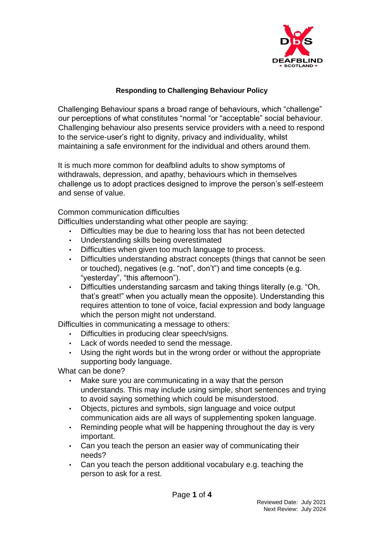

### **Responding to Challenging Behaviour Policy**

Challenging Behaviour spans a broad range of behaviours, which "challenge" our perceptions of what constitutes "normal "or "acceptable" social behaviour. Challenging behaviour also presents service providers with a need to respond to the service-user's right to dignity, privacy and individuality, whilst maintaining a safe environment for the individual and others around them.

It is much more common for deafblind adults to show symptoms of withdrawals, depression, and apathy, behaviours which in themselves challenge us to adopt practices designed to improve the person's self-esteem and sense of value.

#### Common communication difficulties

Difficulties understanding what other people are saying:

- Difficulties may be due to hearing loss that has not been detected
- Understanding skills being overestimated
- Difficulties when given too much language to process.
- Difficulties understanding abstract concepts (things that cannot be seen or touched), negatives (e.g. "not", don't") and time concepts (e.g. "yesterday", "this afternoon").
- Difficulties understanding sarcasm and taking things literally (e.g. "Oh, that's great!" when you actually mean the opposite). Understanding this requires attention to tone of voice, facial expression and body language which the person might not understand.

Difficulties in communicating a message to others:

- Difficulties in producing clear speech/signs.
- Lack of words needed to send the message.
- Using the right words but in the wrong order or without the appropriate supporting body language.

What can be done?

- Make sure you are communicating in a way that the person understands. This may include using simple, short sentences and trying to avoid saying something which could be misunderstood.
- Objects, pictures and symbols, sign language and voice output communication aids are all ways of supplementing spoken language.
- Reminding people what will be happening throughout the day is very important.
- Can you teach the person an easier way of communicating their needs?
- Can you teach the person additional vocabulary e.g. teaching the person to ask for a rest.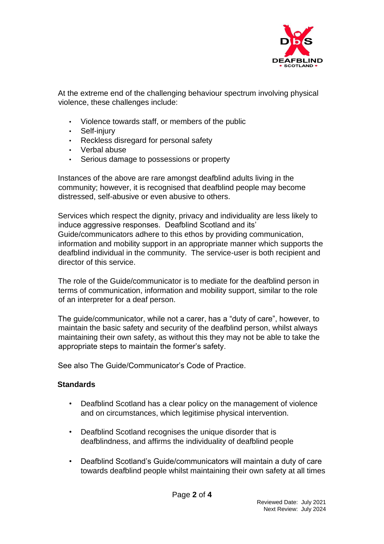

At the extreme end of the challenging behaviour spectrum involving physical violence, these challenges include:

- Violence towards staff, or members of the public
- Self-injury
- Reckless disregard for personal safety
- Verbal abuse
- Serious damage to possessions or property

Instances of the above are rare amongst deafblind adults living in the community; however, it is recognised that deafblind people may become distressed, self-abusive or even abusive to others.

Services which respect the dignity, privacy and individuality are less likely to induce aggressive responses. Deafblind Scotland and its' Guide/communicators adhere to this ethos by providing communication, information and mobility support in an appropriate manner which supports the deafblind individual in the community. The service-user is both recipient and director of this service.

The role of the Guide/communicator is to mediate for the deafblind person in terms of communication, information and mobility support, similar to the role of an interpreter for a deaf person.

The guide/communicator, while not a carer, has a "duty of care", however, to maintain the basic safety and security of the deafblind person, whilst always maintaining their own safety, as without this they may not be able to take the appropriate steps to maintain the former's safety.

See also The Guide/Communicator's Code of Practice.

# **Standards**

- Deafblind Scotland has a clear policy on the management of violence and on circumstances, which legitimise physical intervention.
- Deafblind Scotland recognises the unique disorder that is deafblindness, and affirms the individuality of deafblind people
- Deafblind Scotland's Guide/communicators will maintain a duty of care towards deafblind people whilst maintaining their own safety at all times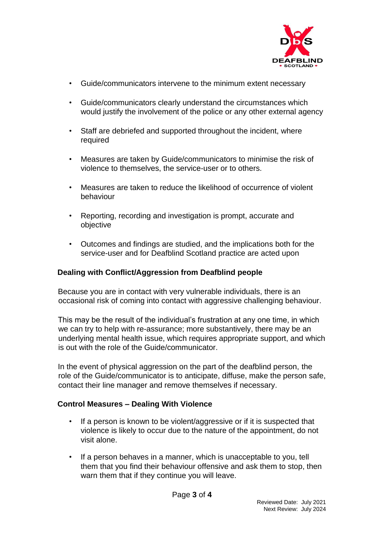

- Guide/communicators intervene to the minimum extent necessary
- Guide/communicators clearly understand the circumstances which would justify the involvement of the police or any other external agency
- Staff are debriefed and supported throughout the incident, where required
- Measures are taken by Guide/communicators to minimise the risk of violence to themselves, the service-user or to others.
- Measures are taken to reduce the likelihood of occurrence of violent behaviour
- Reporting, recording and investigation is prompt, accurate and objective
- Outcomes and findings are studied, and the implications both for the service-user and for Deafblind Scotland practice are acted upon

# **Dealing with Conflict/Aggression from Deafblind people**

Because you are in contact with very vulnerable individuals, there is an occasional risk of coming into contact with aggressive challenging behaviour.

This may be the result of the individual's frustration at any one time, in which we can try to help with re-assurance; more substantively, there may be an underlying mental health issue, which requires appropriate support, and which is out with the role of the Guide/communicator.

In the event of physical aggression on the part of the deafblind person, the role of the Guide/communicator is to anticipate, diffuse, make the person safe, contact their line manager and remove themselves if necessary.

# **Control Measures – Dealing With Violence**

- If a person is known to be violent/aggressive or if it is suspected that violence is likely to occur due to the nature of the appointment, do not visit alone.
- If a person behaves in a manner, which is unacceptable to you, tell them that you find their behaviour offensive and ask them to stop, then warn them that if they continue you will leave.